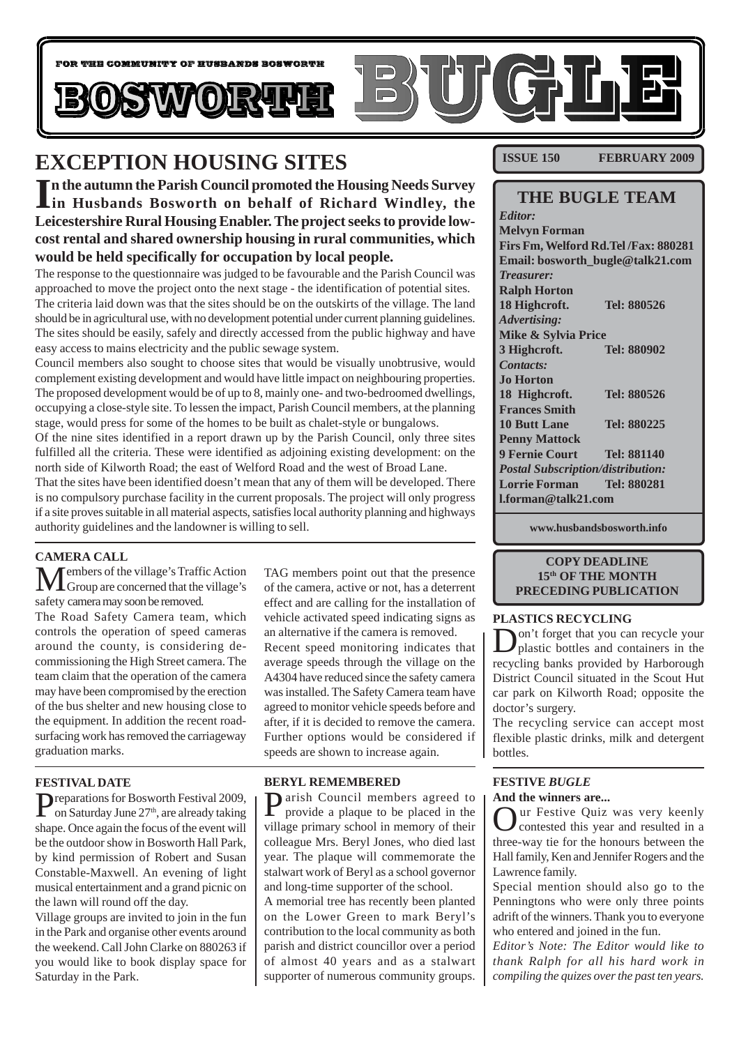

## **EXCEPTION HOUSING SITES**

In the autumn the Parish Council promoted the Housing Needs Survey<br>
in Husbands Bosworth on behalf of Richard Windley, the **n the autumn the Parish Council promoted the Housing Needs Survey Leicestershire Rural Housing Enabler. The project seeks to provide lowcost rental and shared ownership housing in rural communities, which would be held specifically for occupation by local people.**

The response to the questionnaire was judged to be favourable and the Parish Council was approached to move the project onto the next stage - the identification of potential sites. The criteria laid down was that the sites should be on the outskirts of the village. The land should be in agricultural use, with no development potential under current planning guidelines. The sites should be easily, safely and directly accessed from the public highway and have easy access to mains electricity and the public sewage system.

Council members also sought to choose sites that would be visually unobtrusive, would complement existing development and would have little impact on neighbouring properties. The proposed development would be of up to 8, mainly one- and two-bedroomed dwellings, occupying a close-style site. To lessen the impact, Parish Council members, at the planning stage, would press for some of the homes to be built as chalet-style or bungalows.

Of the nine sites identified in a report drawn up by the Parish Council, only three sites fulfilled all the criteria. These were identified as adjoining existing development: on the north side of Kilworth Road; the east of Welford Road and the west of Broad Lane.

That the sites have been identified doesn't mean that any of them will be developed. There is no compulsory purchase facility in the current proposals. The project will only progress if a site proves suitable in all material aspects, satisfies local authority planning and highways authority guidelines and the landowner is willing to sell.

#### **CAMERA CALL**

Members of the village's Traffic Action Group are concerned that the village's safety camera may soon be removed.

The Road Safety Camera team, which controls the operation of speed cameras around the county, is considering decommissioning the High Street camera. The team claim that the operation of the camera may have been compromised by the erection of the bus shelter and new housing close to the equipment. In addition the recent roadsurfacing work has removed the carriageway graduation marks.

#### **FESTIVAL DATE**

Preparations for Bosworth Festival 2009,<br>
on Saturday June 27<sup>th</sup>, are already taking shape. Once again the focus of the event will be the outdoor show in Bosworth Hall Park, by kind permission of Robert and Susan Constable-Maxwell. An evening of light musical entertainment and a grand picnic on the lawn will round off the day.

Village groups are invited to join in the fun in the Park and organise other events around the weekend. Call John Clarke on 880263 if you would like to book display space for Saturday in the Park.

TAG members point out that the presence of the camera, active or not, has a deterrent effect and are calling for the installation of vehicle activated speed indicating signs as an alternative if the camera is removed. Recent speed monitoring indicates that average speeds through the village on the A4304 have reduced since the safety camera was installed. The Safety Camera team have agreed to monitor vehicle speeds before and after, if it is decided to remove the camera. Further options would be considered if speeds are shown to increase again.

#### **BERYL REMEMBERED**

**Parish Council members agreed to** provide a plaque to be placed in the village primary school in memory of their colleague Mrs. Beryl Jones, who died last year. The plaque will commemorate the stalwart work of Beryl as a school governor and long-time supporter of the school.

A memorial tree has recently been planted on the Lower Green to mark Beryl's contribution to the local community as both parish and district councillor over a period of almost 40 years and as a stalwart supporter of numerous community groups.

**ISSUE 150 FEBRUARY 2009**

### **THE BUGLE TEAM**

*Editor:* **Melvyn Forman Firs Fm, Welford Rd.Tel /Fax: 880281 Email: bosworth\_bugle@talk21.com** *Treasurer:* **Ralph Horton 18 Highcroft. Tel: 880526** *Advertising:* **Mike & Sylvia Price 3 Highcroft. Tel: 880902** *Contacts:* **Jo Horton 18 Highcroft. Tel: 880526 Frances Smith 10 Butt Lane Tel: 880225 Penny Mattock 9 Fernie Court Tel: 881140** *Postal Subscription/distribution:* **Lorrie Forman Tel: 880281 l.forman@talk21.com**

**www.husbandsbosworth.info**

#### **COPY DEADLINE 15th OF THE MONTH PRECEDING PUBLICATION**

#### **PLASTICS RECYCLING**

Don't forget that you can recycle your plastic bottles and containers in the recycling banks provided by Harborough District Council situated in the Scout Hut car park on Kilworth Road; opposite the doctor's surgery.

The recycling service can accept most flexible plastic drinks, milk and detergent bottles.

#### **FESTIVE** *BUGLE* **And the winners are...**

Our Festive Quiz was very keenly contested this year and resulted in a three-way tie for the honours between the Hall family, Ken and Jennifer Rogers and the Lawrence family.

Special mention should also go to the Penningtons who were only three points adrift of the winners. Thank you to everyone who entered and joined in the fun.

*Editor's Note: The Editor would like to thank Ralph for all his hard work in compiling the quizes over the past ten years.*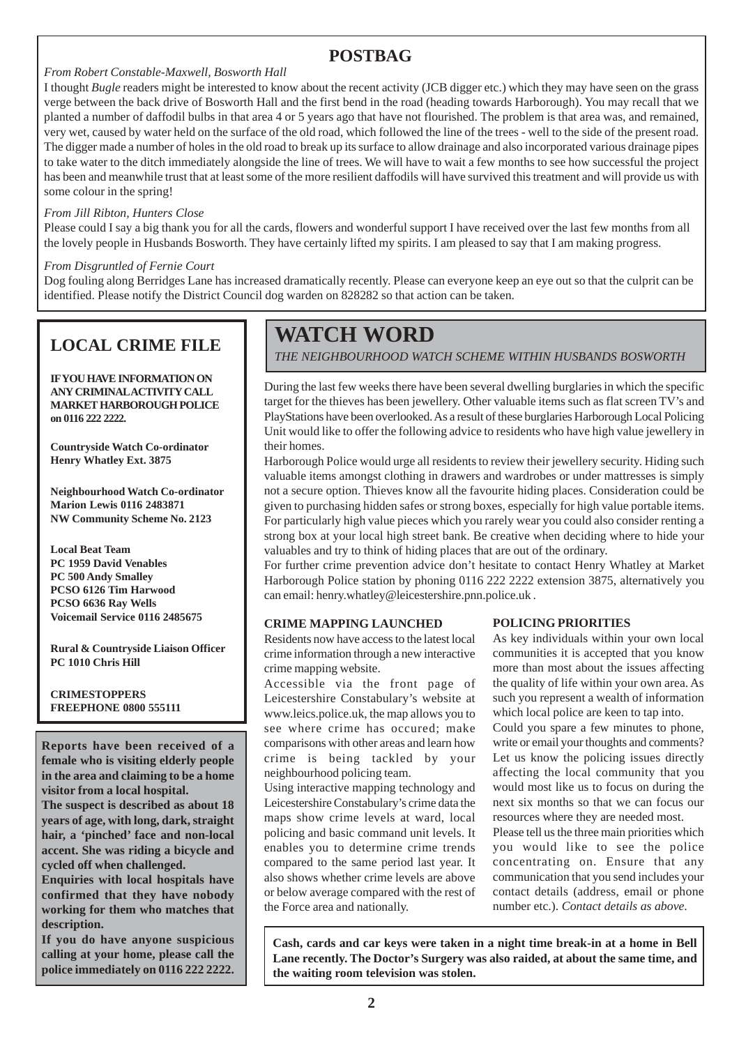### **POSTBAG**

#### *From Robert Constable-Maxwell, Bosworth Hall*

I thought *Bugle* readers might be interested to know about the recent activity (JCB digger etc.) which they may have seen on the grass verge between the back drive of Bosworth Hall and the first bend in the road (heading towards Harborough). You may recall that we planted a number of daffodil bulbs in that area 4 or 5 years ago that have not flourished. The problem is that area was, and remained, very wet, caused by water held on the surface of the old road, which followed the line of the trees - well to the side of the present road. The digger made a number of holes in the old road to break up its surface to allow drainage and also incorporated various drainage pipes to take water to the ditch immediately alongside the line of trees. We will have to wait a few months to see how successful the project has been and meanwhile trust that at least some of the more resilient daffodils will have survived this treatment and will provide us with some colour in the spring!

#### *From Jill Ribton, Hunters Close*

Please could I say a big thank you for all the cards, flowers and wonderful support I have received over the last few months from all the lovely people in Husbands Bosworth. They have certainly lifted my spirits. I am pleased to say that I am making progress.

#### *From Disgruntled of Fernie Court*

Dog fouling along Berridges Lane has increased dramatically recently. Please can everyone keep an eye out so that the culprit can be identified. Please notify the District Council dog warden on 828282 so that action can be taken.

## **LOCAL CRIME FILE**

**IF YOU HAVE INFORMATION ON ANY CRIMINAL ACTIVITY CALL MARKET HARBOROUGH POLICE on 0116 222 2222.**

**Countryside Watch Co-ordinator Henry Whatley Ext. 3875**

**Neighbourhood Watch Co-ordinator Marion Lewis 0116 2483871 NW Community Scheme No. 2123**

**Local Beat Team PC 1959 David Venables PC 500 Andy Smalley PCSO 6126 Tim Harwood PCSO 6636 Ray Wells Voicemail Service 0116 2485675**

**Rural & Countryside Liaison Officer PC 1010 Chris Hill**

**CRIMESTOPPERS FREEPHONE 0800 555111**

**Reports have been received of a female who is visiting elderly people in the area and claiming to be a home visitor from a local hospital.**

**The suspect is described as about 18 years of age, with long, dark, straight hair, a 'pinched' face and non-local accent. She was riding a bicycle and cycled off when challenged.**

**Enquiries with local hospitals have confirmed that they have nobody working for them who matches that description.**

**If you do have anyone suspicious calling at your home, please call the police immediately on 0116 222 2222.**

## **WATCH WORD**

*THE NEIGHBOURHOOD WATCH SCHEME WITHIN HUSBANDS BOSWORTH*

During the last few weeks there have been several dwelling burglaries in which the specific target for the thieves has been jewellery. Other valuable items such as flat screen TV's and PlayStations have been overlooked. As a result of these burglaries Harborough Local Policing Unit would like to offer the following advice to residents who have high value jewellery in their homes.

Harborough Police would urge all residents to review their jewellery security. Hiding such valuable items amongst clothing in drawers and wardrobes or under mattresses is simply not a secure option. Thieves know all the favourite hiding places. Consideration could be given to purchasing hidden safes or strong boxes, especially for high value portable items. For particularly high value pieces which you rarely wear you could also consider renting a strong box at your local high street bank. Be creative when deciding where to hide your valuables and try to think of hiding places that are out of the ordinary.

For further crime prevention advice don't hesitate to contact Henry Whatley at Market Harborough Police station by phoning 0116 222 2222 extension 3875, alternatively you can email: henry.whatley@leicestershire.pnn.police.uk .

#### **CRIME MAPPING LAUNCHED**

Residents now have access to the latest local crime information through a new interactive crime mapping website.

Accessible via the front page of Leicestershire Constabulary's website at www.leics.police.uk, the map allows you to see where crime has occured; make comparisons with other areas and learn how crime is being tackled by your neighbourhood policing team.

Using interactive mapping technology and Leicestershire Constabulary's crime data the maps show crime levels at ward, local policing and basic command unit levels. It enables you to determine crime trends compared to the same period last year. It also shows whether crime levels are above or below average compared with the rest of the Force area and nationally.

#### **POLICING PRIORITIES**

As key individuals within your own local communities it is accepted that you know more than most about the issues affecting the quality of life within your own area. As such you represent a wealth of information which local police are keen to tap into.

Could you spare a few minutes to phone, write or email your thoughts and comments? Let us know the policing issues directly affecting the local community that you would most like us to focus on during the next six months so that we can focus our resources where they are needed most.

Please tell us the three main priorities which you would like to see the police concentrating on. Ensure that any communication that you send includes your contact details (address, email or phone number etc.). *Contact details as above*.

**Cash, cards and car keys were taken in a night time break-in at a home in Bell Lane recently. The Doctor's Surgery was also raided, at about the same time, and the waiting room television was stolen.**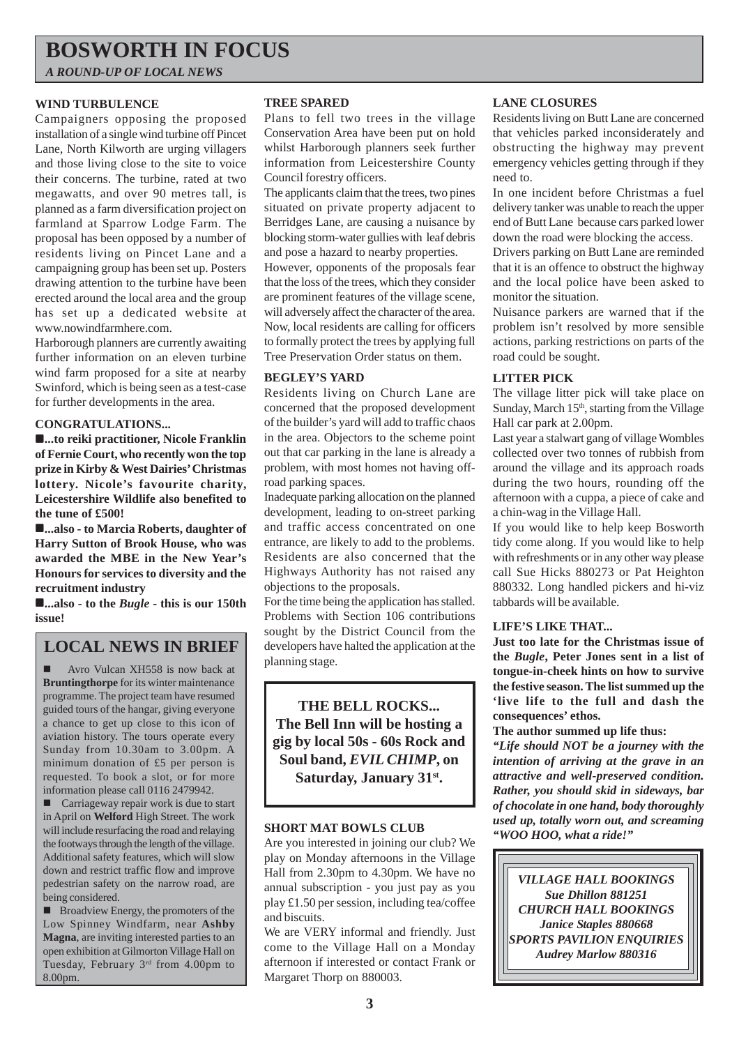## **BOSWORTH IN FOCUS**

*A ROUND-UP OF LOCAL NEWS*

#### **WIND TURBULENCE**

Campaigners opposing the proposed installation of a single wind turbine off Pincet Lane, North Kilworth are urging villagers and those living close to the site to voice their concerns. The turbine, rated at two megawatts, and over 90 metres tall, is planned as a farm diversification project on farmland at Sparrow Lodge Farm. The proposal has been opposed by a number of residents living on Pincet Lane and a campaigning group has been set up. Posters drawing attention to the turbine have been erected around the local area and the group has set up a dedicated website at www.nowindfarmhere.com.

Harborough planners are currently awaiting further information on an eleven turbine wind farm proposed for a site at nearby Swinford, which is being seen as a test-case for further developments in the area.

#### **CONGRATULATIONS...**

!**...to reiki practitioner, Nicole Franklin of Fernie Court, who recently won the top prize in Kirby & West Dairies' Christmas lottery. Nicole's favourite charity, Leicestershire Wildlife also benefited to the tune of £500!**

!**...also - to Marcia Roberts, daughter of Harry Sutton of Brook House, who was awarded the MBE in the New Year's Honours for services to diversity and the recruitment industry**

!**...also - to the** *Bugle* **- this is our 150th issue!**

### **LOCAL NEWS IN BRIEF**

! Avro Vulcan XH558 is now back at **Bruntingthorpe** for its winter maintenance programme. The project team have resumed guided tours of the hangar, giving everyone a chance to get up close to this icon of aviation history. The tours operate every Sunday from 10.30am to 3.00pm. A minimum donation of £5 per person is requested. To book a slot, or for more information please call 0116 2479942.

! Carriageway repair work is due to start in April on **Welford** High Street. The work will include resurfacing the road and relaying the footways through the length of the village. Additional safety features, which will slow down and restrict traffic flow and improve pedestrian safety on the narrow road, are being considered.

■ Broadview Energy, the promoters of the Low Spinney Windfarm, near **Ashby Magna**, are inviting interested parties to an open exhibition at Gilmorton Village Hall on Tuesday, February 3rd from 4.00pm to 8.00pm.

#### **TREE SPARED**

Plans to fell two trees in the village Conservation Area have been put on hold whilst Harborough planners seek further information from Leicestershire County Council forestry officers.

The applicants claim that the trees, two pines situated on private property adjacent to Berridges Lane, are causing a nuisance by blocking storm-water gullies with leaf debris and pose a hazard to nearby properties.

However, opponents of the proposals fear that the loss of the trees, which they consider are prominent features of the village scene, will adversely affect the character of the area. Now, local residents are calling for officers to formally protect the trees by applying full Tree Preservation Order status on them.

#### **BEGLEY'S YARD**

Residents living on Church Lane are concerned that the proposed development of the builder's yard will add to traffic chaos in the area. Objectors to the scheme point out that car parking in the lane is already a problem, with most homes not having offroad parking spaces.

Inadequate parking allocation on the planned development, leading to on-street parking and traffic access concentrated on one entrance, are likely to add to the problems. Residents are also concerned that the Highways Authority has not raised any objections to the proposals.

For the time being the application has stalled. Problems with Section 106 contributions sought by the District Council from the developers have halted the application at the planning stage.

**THE BELL ROCKS... The Bell Inn will be hosting a gig by local 50s - 60s Rock and Soul band,** *EVIL CHIMP***, on Saturday, January 31st.**

#### **SHORT MAT BOWLS CLUB**

Are you interested in joining our club? We play on Monday afternoons in the Village Hall from 2.30pm to 4.30pm. We have no annual subscription - you just pay as you play £1.50 per session, including tea/coffee and biscuits.

We are VERY informal and friendly. Just come to the Village Hall on a Monday afternoon if interested or contact Frank or Margaret Thorp on 880003.

#### **LANE CLOSURES**

Residents living on Butt Lane are concerned that vehicles parked inconsiderately and obstructing the highway may prevent emergency vehicles getting through if they need to.

In one incident before Christmas a fuel delivery tanker was unable to reach the upper end of Butt Lane because cars parked lower down the road were blocking the access.

Drivers parking on Butt Lane are reminded that it is an offence to obstruct the highway and the local police have been asked to monitor the situation.

Nuisance parkers are warned that if the problem isn't resolved by more sensible actions, parking restrictions on parts of the road could be sought.

#### **LITTER PICK**

The village litter pick will take place on Sunday, March 15<sup>th</sup>, starting from the Village Hall car park at 2.00pm.

Last year a stalwart gang of village Wombles collected over two tonnes of rubbish from around the village and its approach roads during the two hours, rounding off the afternoon with a cuppa, a piece of cake and a chin-wag in the Village Hall.

If you would like to help keep Bosworth tidy come along. If you would like to help with refreshments or in any other way please call Sue Hicks 880273 or Pat Heighton 880332. Long handled pickers and hi-viz tabbards will be available.

#### **LIFE'S LIKE THAT...**

**Just too late for the Christmas issue of the** *Bugle***, Peter Jones sent in a list of tongue-in-cheek hints on how to survive the festive season. The list summed up the 'live life to the full and dash the consequences' ethos.**

**The author summed up life thus:**

*"Life should NOT be a journey with the intention of arriving at the grave in an attractive and well-preserved condition. Rather, you should skid in sideways, bar of chocolate in one hand, body thoroughly used up, totally worn out, and screaming "WOO HOO, what a ride!"*

*VILLAGE HALL BOOKINGS Sue Dhillon 881251 CHURCH HALL BOOKINGS Janice Staples 880668 SPORTS PAVILION ENQUIRIES Audrey Marlow 880316*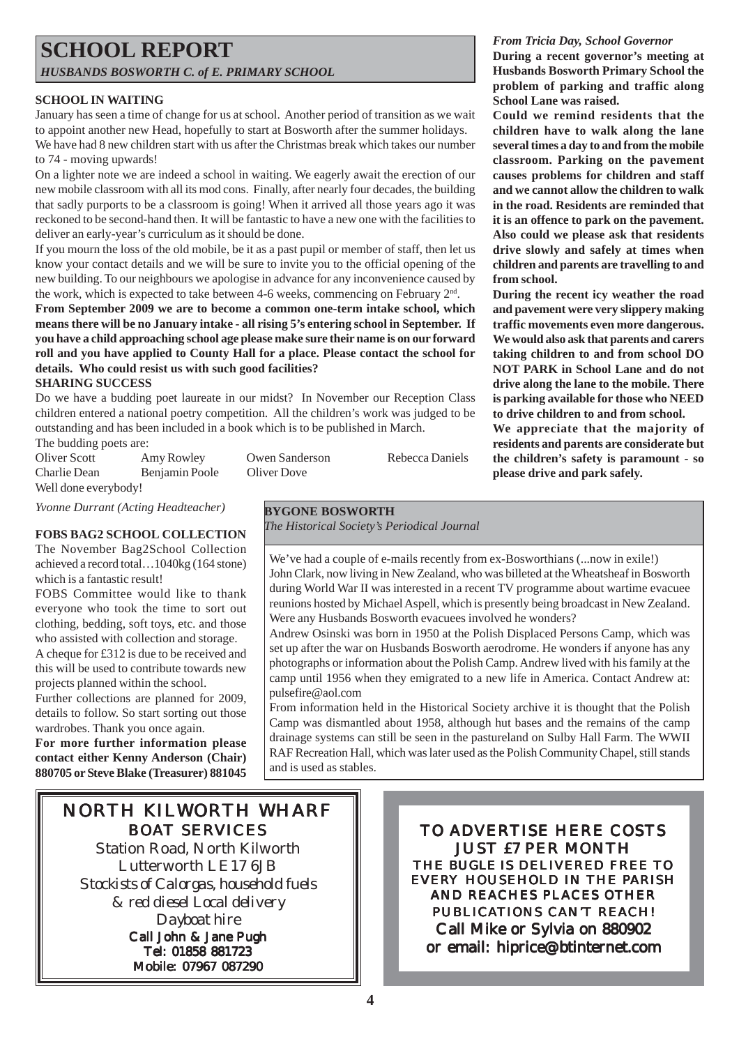### **SCHOOL REPORT** *HUSBANDS BOSWORTH C. of E. PRIMARY SCHOOL*

#### **SCHOOL IN WAITING**

January has seen a time of change for us at school. Another period of transition as we wait to appoint another new Head, hopefully to start at Bosworth after the summer holidays. We have had 8 new children start with us after the Christmas break which takes our number to 74 - moving upwards!

On a lighter note we are indeed a school in waiting. We eagerly await the erection of our new mobile classroom with all its mod cons. Finally, after nearly four decades, the building that sadly purports to be a classroom is going! When it arrived all those years ago it was reckoned to be second-hand then. It will be fantastic to have a new one with the facilities to deliver an early-year's curriculum as it should be done.

If you mourn the loss of the old mobile, be it as a past pupil or member of staff, then let us know your contact details and we will be sure to invite you to the official opening of the new building. To our neighbours we apologise in advance for any inconvenience caused by the work, which is expected to take between 4-6 weeks, commencing on February 2<sup>nd</sup>.

**From September 2009 we are to become a common one-term intake school, which means there will be no January intake - all rising 5's entering school in September. If you have a child approaching school age please make sure their name is on our forward roll and you have applied to County Hall for a place. Please contact the school for details. Who could resist us with such good facilities?**

#### **SHARING SUCCESS**

Do we have a budding poet laureate in our midst? In November our Reception Class children entered a national poetry competition. All the children's work was judged to be outstanding and has been included in a book which is to be published in March.

The budding poets are:<br>Oliver Scott A

Amy Rowley Owen Sanderson Rebecca Daniels Charlie Dean Benjamin Poole Oliver Dove Well done everybody!

*Yvonne Durrant (Acting Headteacher)*

#### **FOBS BAG2 SCHOOL COLLECTION**

The November Bag2School Collection achieved a record total…1040kg (164 stone) which is a fantastic result!

FOBS Committee would like to thank everyone who took the time to sort out clothing, bedding, soft toys, etc. and those who assisted with collection and storage.

A cheque for £312 is due to be received and this will be used to contribute towards new projects planned within the school.

Further collections are planned for 2009, details to follow. So start sorting out those wardrobes. Thank you once again.

**For more further information please contact either Kenny Anderson (Chair) 880705 or Steve Blake (Treasurer) 881045**

**BYGONE BOSWORTH**

*The Historical Society's Periodical Journal*

We've had a couple of e-mails recently from ex-Bosworthians (... now in exile!) John Clark, now living in New Zealand, who was billeted at the Wheatsheaf in Bosworth during World War II was interested in a recent TV programme about wartime evacuee reunions hosted by Michael Aspell, which is presently being broadcast in New Zealand. Were any Husbands Bosworth evacuees involved he wonders?

Andrew Osinski was born in 1950 at the Polish Displaced Persons Camp, which was set up after the war on Husbands Bosworth aerodrome. He wonders if anyone has any photographs or information about the Polish Camp. Andrew lived with his family at the camp until 1956 when they emigrated to a new life in America. Contact Andrew at: pulsefire@aol.com

From information held in the Historical Society archive it is thought that the Polish Camp was dismantled about 1958, although hut bases and the remains of the camp drainage systems can still be seen in the pastureland on Sulby Hall Farm. The WWII RAF Recreation Hall, which was later used as the Polish Community Chapel, still stands and is used as stables.

## NORTH KILWORTH WHARF BOAT SERVICES

Station Road, North Kilworth Lutterworth LE17 6JB *Stockists of Calorgas, household fuels & red diesel Local delivery Dayboat hire*

Call John & Jane Pugh Tel: 01858 881723 Mobile: 07967 087290

TO ADVERTISE HERE COSTS JUST £7 PER MONTH THE *BUGLE* IS DELIVERED FREE TO EVERY HOUSEHOLD IN THE PARISH AND REACHES PLACES OTHER PUBLICATIONS CAN'T REACH! Call Mike or Sylvia on 880902 or email: hiprice@btinternet.com

*From Tricia Day, School Governor*

**During a recent governor's meeting at Husbands Bosworth Primary School the problem of parking and traffic along School Lane was raised.**

**Could we remind residents that the children have to walk along the lane several times a day to and from the mobile classroom. Parking on the pavement causes problems for children and staff and we cannot allow the children to walk in the road. Residents are reminded that it is an offence to park on the pavement. Also could we please ask that residents drive slowly and safely at times when children and parents are travelling to and from school.**

**During the recent icy weather the road and pavement were very slippery making traffic movements even more dangerous. We would also ask that parents and carers taking children to and from school DO NOT PARK in School Lane and do not drive along the lane to the mobile. There is parking available for those who NEED to drive children to and from school.**

**We appreciate that the majority of residents and parents are considerate but the children's safety is paramount - so please drive and park safely.**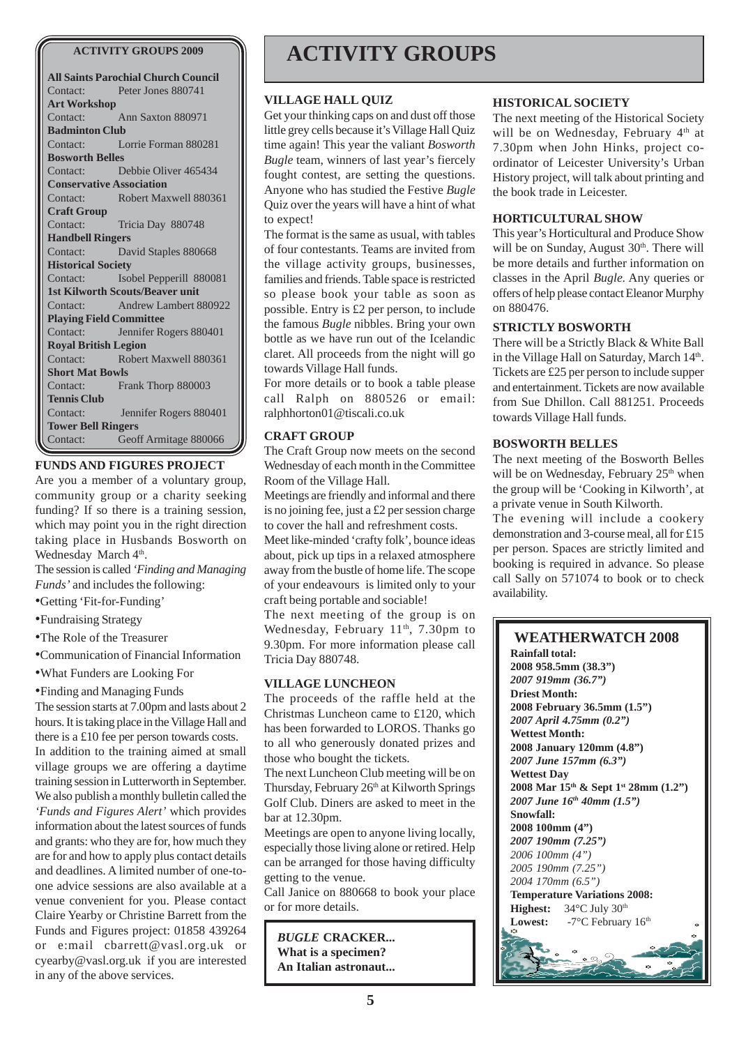#### **ACTIVITY GROUPS 2009**

| <b>All Saints Parochial Church Council</b> |                                  |
|--------------------------------------------|----------------------------------|
|                                            | Contact: Peter Jones 880741      |
| <b>Art Workshop</b>                        |                                  |
|                                            | Contact: Ann Saxton 880971       |
| <b>Badminton Club</b>                      |                                  |
|                                            | Contact: Lorrie Forman 880281    |
| <b>Bosworth Belles</b>                     |                                  |
|                                            | Contact: Debbie Oliver 465434    |
| <b>Conservative Association</b>            |                                  |
| Contact:                                   | Robert Maxwell 880361            |
| <b>Craft Group</b>                         |                                  |
| Contact:                                   | Tricia Day 880748                |
| <b>Handbell Ringers</b>                    |                                  |
| Contact:                                   | David Staples 880668             |
| <b>Historical Society</b>                  |                                  |
|                                            | Contact: Isobel Pepperill 880081 |
| <b>1st Kilworth Scouts/Beaver unit</b>     |                                  |
|                                            | Contact: Andrew Lambert 880922   |
| <b>Playing Field Committee</b>             |                                  |
| Contact:                                   | Jennifer Rogers 880401           |
| <b>Royal British Legion</b>                |                                  |
| Contact:<br>an di Kabupatén B              | Robert Maxwell 880361            |
| <b>Short Mat Bowls</b>                     |                                  |
| Contact:                                   | Frank Thorp 880003               |
| <b>Tennis Club</b>                         |                                  |
|                                            | Contact: Jennifer Rogers 880401  |
| <b>Tower Bell Ringers</b>                  |                                  |
| Contact:                                   | Geoff Armitage 880066            |

#### **FUNDS AND FIGURES PROJECT**

Are you a member of a voluntary group, community group or a charity seeking funding? If so there is a training session, which may point you in the right direction taking place in Husbands Bosworth on Wednesday March 4<sup>th</sup>.

The session is called *'Finding and Managing Funds'* and includes the following:

- •Getting 'Fit-for-Funding'
- •Fundraising Strategy

•The Role of the Treasurer

•Communication of Financial Information

•What Funders are Looking For

•Finding and Managing Funds

The session starts at 7.00pm and lasts about 2 hours. It is taking place in the Village Hall and there is a £10 fee per person towards costs. In addition to the training aimed at small village groups we are offering a daytime training session in Lutterworth in September. We also publish a monthly bulletin called the *'Funds and Figures Alert'* which provides information about the latest sources of funds and grants: who they are for, how much they are for and how to apply plus contact details and deadlines. A limited number of one-toone advice sessions are also available at a venue convenient for you. Please contact Claire Yearby or Christine Barrett from the Funds and Figures project: 01858 439264 or e:mail cbarrett@vasl.org.uk or cyearby@vasl.org.uk if you are interested in any of the above services.

## **ACTIVITY GROUPS**

#### **VILLAGE HALL QUIZ**

Get your thinking caps on and dust off those little grey cells because it's Village Hall Quiz time again! This year the valiant *Bosworth Bugle* team, winners of last year's fiercely fought contest, are setting the questions. Anyone who has studied the Festive *Bugle* Quiz over the years will have a hint of what to expect!

The format is the same as usual, with tables of four contestants. Teams are invited from the village activity groups, businesses, families and friends. Table space is restricted so please book your table as soon as possible. Entry is £2 per person, to include the famous *Bugle* nibbles. Bring your own bottle as we have run out of the Icelandic claret. All proceeds from the night will go towards Village Hall funds.

For more details or to book a table please call Ralph on 880526 or email: ralphhorton01@tiscali.co.uk

#### **CRAFT GROUP**

The Craft Group now meets on the second Wednesday of each month in the Committee Room of the Village Hall.

Meetings are friendly and informal and there is no joining fee, just a £2 per session charge to cover the hall and refreshment costs.

Meet like-minded 'crafty folk', bounce ideas about, pick up tips in a relaxed atmosphere away from the bustle of home life. The scope of your endeavours is limited only to your craft being portable and sociable!

The next meeting of the group is on Wednesday, February 11<sup>th</sup>, 7.30pm to 9.30pm. For more information please call Tricia Day 880748.

#### **VILLAGE LUNCHEON**

The proceeds of the raffle held at the Christmas Luncheon came to £120, which has been forwarded to LOROS. Thanks go to all who generously donated prizes and those who bought the tickets.

The next Luncheon Club meeting will be on Thursday, February 26<sup>th</sup> at Kilworth Springs Golf Club. Diners are asked to meet in the bar at 12.30pm.

Meetings are open to anyone living locally, especially those living alone or retired. Help can be arranged for those having difficulty getting to the venue.

Call Janice on 880668 to book your place or for more details.

*BUGLE* **CRACKER... What is a specimen? An Italian astronaut...**

#### **HISTORICAL SOCIETY**

The next meeting of the Historical Society will be on Wednesday, February 4<sup>th</sup> at 7.30pm when John Hinks, project coordinator of Leicester University's Urban History project, will talk about printing and the book trade in Leicester.

#### **HORTICULTURAL SHOW**

This year's Horticultural and Produce Show will be on Sunday, August  $30<sup>th</sup>$ . There will be more details and further information on classes in the April *Bugle*. Any queries or offers of help please contact Eleanor Murphy on 880476.

#### **STRICTLY BOSWORTH**

There will be a Strictly Black & White Ball in the Village Hall on Saturday, March 14th. Tickets are £25 per person to include supper and entertainment. Tickets are now available from Sue Dhillon. Call 881251. Proceeds towards Village Hall funds.

#### **BOSWORTH BELLES**

The next meeting of the Bosworth Belles will be on Wednesday, February  $25<sup>th</sup>$  when the group will be 'Cooking in Kilworth', at a private venue in South Kilworth.

The evening will include a cookery demonstration and 3-course meal, all for £15 per person. Spaces are strictly limited and booking is required in advance. So please call Sally on 571074 to book or to check availability.

#### **WEATHERWATCH 2008 Rainfall total: 2008 958.5mm (38.3")** *2007 919mm (36.7")* **Driest Month: 2008 February 36.5mm (1.5")** *2007 April 4.75mm (0.2")* **Wettest Month: 2008 January 120mm (4.8")** *2007 June 157mm (6.3")* **Wettest Day 2008 Mar 15th & Sept 1st 28mm (1.2")** *2007 June 16th 40mm (1.5")* **Snowfall: 2008 100mm (4")** *2007 190mm (7.25") 2006 100mm (4") 2005 190mm (7.25") 2004 170mm (6.5")* **Temperature Variations 2008: Highest:** 34°C July 30<sup>th</sup> Lowest: -7°C February 16<sup>th</sup>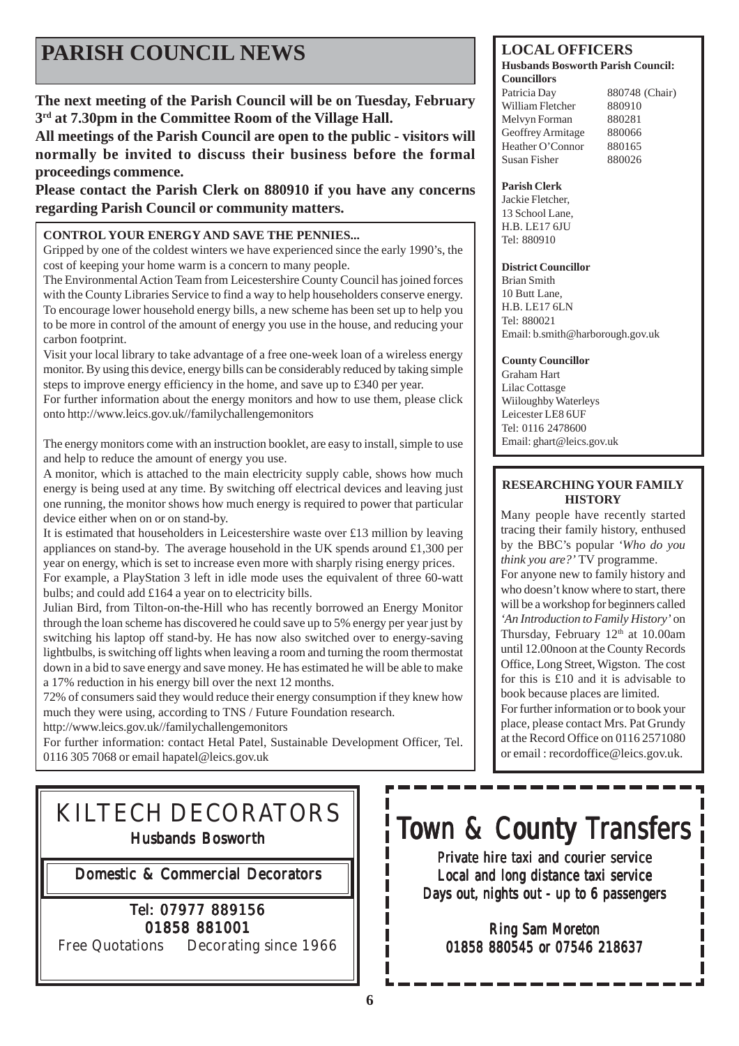## **PARISH COUNCIL NEWS**

**The next meeting of the Parish Council will be on Tuesday, February 3rd at 7.30pm in the Committee Room of the Village Hall.**

**All meetings of the Parish Council are open to the public - visitors will normally be invited to discuss their business before the formal proceedings commence.**

**Please contact the Parish Clerk on 880910 if you have any concerns regarding Parish Council or community matters.**

#### **CONTROL YOUR ENERGY AND SAVE THE PENNIES...**

Gripped by one of the coldest winters we have experienced since the early 1990's, the cost of keeping your home warm is a concern to many people.

The Environmental Action Team from Leicestershire County Council has joined forces with the County Libraries Service to find a way to help householders conserve energy. To encourage lower household energy bills, a new scheme has been set up to help you to be more in control of the amount of energy you use in the house, and reducing your carbon footprint.

Visit your local library to take advantage of a free one-week loan of a wireless energy monitor. By using this device, energy bills can be considerably reduced by taking simple steps to improve energy efficiency in the home, and save up to £340 per year.

For further information about the energy monitors and how to use them, please click onto http://www.leics.gov.uk//familychallengemonitors

The energy monitors come with an instruction booklet, are easy to install, simple to use and help to reduce the amount of energy you use.

A monitor, which is attached to the main electricity supply cable, shows how much energy is being used at any time. By switching off electrical devices and leaving just one running, the monitor shows how much energy is required to power that particular device either when on or on stand-by.

It is estimated that householders in Leicestershire waste over £13 million by leaving appliances on stand-by. The average household in the UK spends around £1,300 per year on energy, which is set to increase even more with sharply rising energy prices. For example, a PlayStation 3 left in idle mode uses the equivalent of three 60-watt bulbs; and could add £164 a year on to electricity bills.

Julian Bird, from Tilton-on-the-Hill who has recently borrowed an Energy Monitor through the loan scheme has discovered he could save up to 5% energy per year just by switching his laptop off stand-by. He has now also switched over to energy-saving lightbulbs, is switching off lights when leaving a room and turning the room thermostat down in a bid to save energy and save money. He has estimated he will be able to make a 17% reduction in his energy bill over the next 12 months.

72% of consumers said they would reduce their energy consumption if they knew how much they were using, according to TNS / Future Foundation research. http://www.leics.gov.uk//familychallengemonitors

For further information: contact Hetal Patel, Sustainable Development Officer, Tel.

0116 305 7068 or email hapatel@leics.gov.uk

## KILTECH DECORATORS Husbands Bosworth

Domestic & Commercial Decorators

### Tel: 07977 889156 01858 881001

Free Quotations Decorating since 1966

#### **LOCAL OFFICERS**

#### **Husbands Bosworth Parish Council: Councillors**

Patricia Day 880748 (Chair) William Fletcher 880910 Melvyn Forman 880281 Geoffrey Armitage 880066 Heather O'Connor 880165 Susan Fisher 880026

#### **Parish Clerk**

Jackie Fletcher, 13 School Lane, H.B. LE17 6JU Tel: 880910

#### **District Councillor**

Brian Smith 10 Butt Lane, H.B. LE17 6LN Tel: 880021 Email: b.smith@harborough.gov.uk

#### **County Councillor**

Graham Hart Lilac Cottasge Wiiloughby Waterleys Leicester LE8 6UF Tel: 0116 2478600 Email: ghart@leics.gov.uk

#### **RESEARCHING YOUR FAMILY HISTORY**

Many people have recently started tracing their family history, enthused by the BBC's popular *'Who do you think you are?'* TV programme. For anyone new to family history and who doesn't know where to start, there will be a workshop for beginners called *'An Introduction to Family History'* on Thursday, February  $12<sup>th</sup>$  at  $10.00$ am until 12.00noon at the County Records Office, Long Street, Wigston. The cost for this is £10 and it is advisable to book because places are limited. For further information or to book your place, please contact Mrs. Pat Grundy at the Record Office on 0116 2571080 or email : recordoffice@leics.gov.uk.

# Town & County Transfers

Private hire taxi and courier service Local and long distance taxi service Days out, nights out - up to  $6$  passengers

Ring Sam Moreton 01858 880545 or 07546 218637

П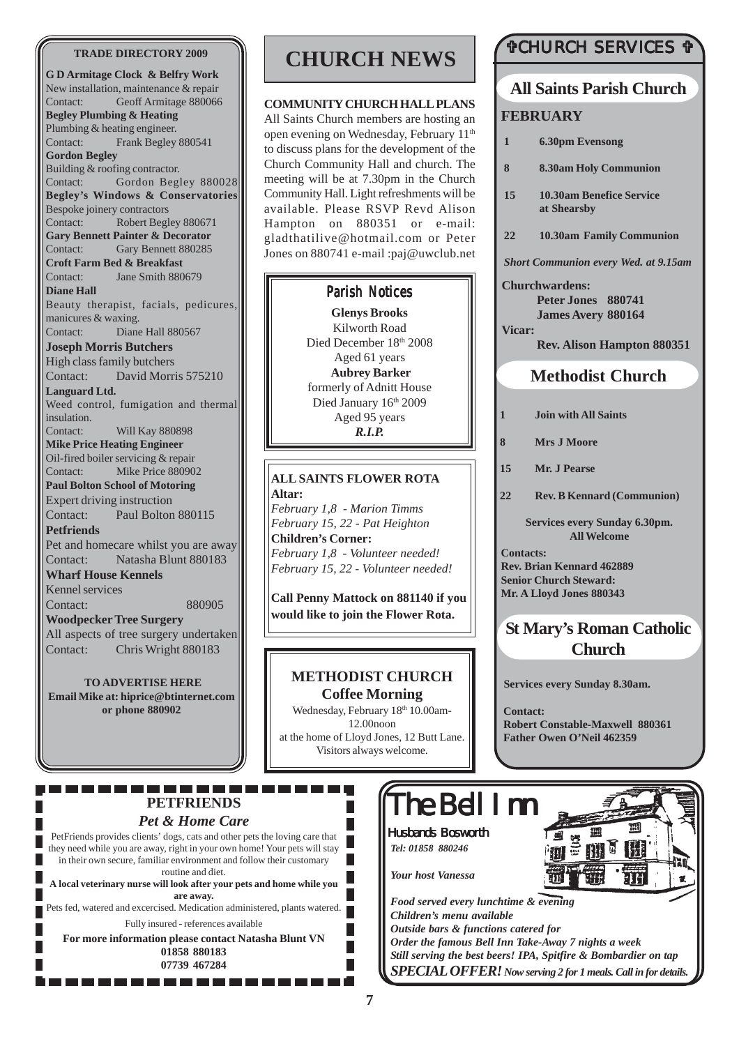#### **TRADE DIRECTORY 2009**

**G D Armitage Clock & Belfry Work** New installation, maintenance & repair Contact: Geoff Armitage 880066 **Begley Plumbing & Heating** Plumbing & heating engineer. Contact: Frank Begley 880541 **Gordon Begley** Building & roofing contractor. Contact: Gordon Begley 880028 **Begley's Windows & Conservatories** Bespoke joinery contractors Contact: Robert Begley 880671 **Gary Bennett Painter & Decorator** Contact: Gary Bennett 880285 **Croft Farm Bed & Breakfast** Contact: Jane Smith 880679 **Diane Hall** Beauty therapist, facials, pedicures, manicures & waxing. Contact: Diane Hall 880567 **Joseph Morris Butchers** High class family butchers Contact: David Morris 575210 **Languard Ltd.** Weed control, fumigation and thermal insulation. Contact: Will Kay 880898 **Mike Price Heating Engineer** Oil-fired boiler servicing & repair Contact: Mike Price 880902 **Paul Bolton School of Motoring** Expert driving instruction Contact: Paul Bolton 880115 **Petfriends** Pet and homecare whilst you are away Contact: Natasha Blunt 880183 **Wharf House Kennels** Kennel services Contact: 880905 **Woodpecker Tree Surgery** All aspects of tree surgery undertaken Contact: Chris Wright 880183

**TO ADVERTISE HERE Email Mike at: hiprice@btinternet.com or phone 880902**

## **CHURCH NEWS**

#### **COMMUNITY CHURCH HALL PLANS**

All Saints Church members are hosting an open evening on Wednesday, February 11<sup>th</sup> to discuss plans for the development of the Church Community Hall and church. The meeting will be at 7.30pm in the Church Community Hall. Light refreshments will be available. Please RSVP Revd Alison Hampton on 880351 or e-mail: gladthatilive@hotmail.com or Peter Jones on 880741 e-mail :paj@uwclub.net

#### Parish Notices

**Glenys Brooks** Kilworth Road Died December 18th 2008 Aged 61 years **Aubrey Barker** formerly of Adnitt House Died January 16th 2009 Aged 95 years *R.I.P.*

#### **ALL SAINTS FLOWER ROTA Altar:**

*February 1,8 - Marion Timms February 15, 22 - Pat Heighton* **Children's Corner:** *February 1,8 - Volunteer needed! February 15, 22 - Volunteer needed!*

**Call Penny Mattock on 881140 if you would like to join the Flower Rota.**

## **METHODIST CHURCH**

**Coffee Morning** Wednesday, February 18th 10.00am-12.00noon at the home of Lloyd Jones, 12 Butt Lane. Visitors always welcome.

н

### #CHURCH SERVICES #

### **All Saints Parish Church**

#### **FEBRUARY**

- **1 6.30pm Evensong**
- **8 8.30am Holy Communion**
- **15 10.30am Benefice Service at Shearsby**
- **22 10.30am Family Communion**

*Short Communion every Wed. at 9.15am*

**Churchwardens: Peter Jones 880741 James Avery 880164 Vicar:**

**Rev. Alison Hampton 880351**

### **Methodist Church**

- **1 Join with All Saints**
- **8 Mrs J Moore**
- **15 Mr. J Pearse**
- **22 Rev. B Kennard (Communion)**

**Services every Sunday 6.30pm. All Welcome**

**Contacts: Rev. Brian Kennard 462889 Senior Church Steward: Mr. A Lloyd Jones 880343**

## **St Mary's Roman Catholic Church**

**Services every Sunday 8.30am.**

**Contact: Robert Constable-Maxwell 880361 Father Owen O'Neil 462359**

-----**PETFRIENDS** *Pet & Home Care*

PetFriends provides clients' dogs, cats and other pets the loving care that H they need while you are away, right in your own home! Your pets will stay in their own secure, familiar environment and follow their customary routine and diet. **A local veterinary nurse will look after your pets and home while you are away.** Pets fed, watered and excercised. Medication administered, plants watered. Fully insured - references available **For more information please contact Natasha Blunt VN 01858 880183 07739 467284**

---------

# The Bell Inn

Husbands Bosworth *Tel: 01858 880246*

*Your host Vanessa*

*Food served every lunchtime & evening Children's menu available Outside bars & functions catered for Order the famous Bell Inn Take-Away 7 nights a week Still serving the best beers! IPA, Spitfire & Bombardier on tap SPECIAL OFFER! Now serving 2 for 1 meals. Call in for details.*